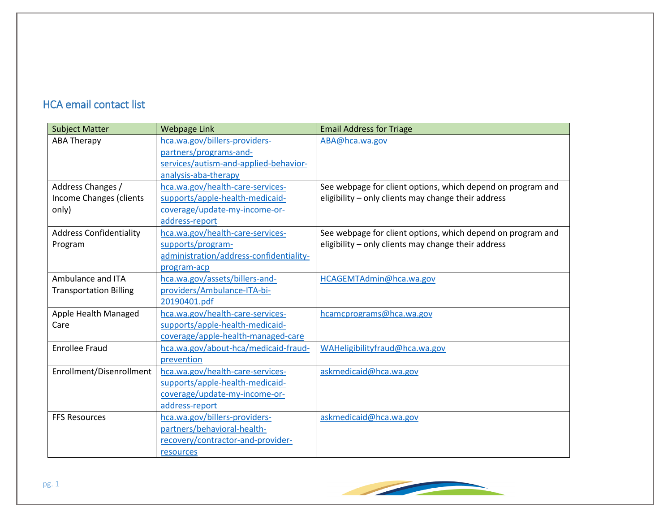## HCA email contact list

| <b>Subject Matter</b>          | <b>Webpage Link</b>                     | <b>Email Address for Triage</b>                             |
|--------------------------------|-----------------------------------------|-------------------------------------------------------------|
| <b>ABA Therapy</b>             | hca.wa.gov/billers-providers-           | ABA@hca.wa.gov                                              |
|                                | partners/programs-and-                  |                                                             |
|                                | services/autism-and-applied-behavior-   |                                                             |
|                                | analysis-aba-therapy                    |                                                             |
| Address Changes /              | hca.wa.gov/health-care-services-        | See webpage for client options, which depend on program and |
| Income Changes (clients        | supports/apple-health-medicaid-         | eligibility - only clients may change their address         |
| only)                          | coverage/update-my-income-or-           |                                                             |
|                                | address-report                          |                                                             |
| <b>Address Confidentiality</b> | hca.wa.gov/health-care-services-        | See webpage for client options, which depend on program and |
| Program                        | supports/program-                       | eligibility - only clients may change their address         |
|                                | administration/address-confidentiality- |                                                             |
|                                | program-acp                             |                                                             |
| Ambulance and ITA              | hca.wa.gov/assets/billers-and-          | HCAGEMTAdmin@hca.wa.gov                                     |
| <b>Transportation Billing</b>  | providers/Ambulance-ITA-bi-             |                                                             |
|                                | 20190401.pdf                            |                                                             |
| Apple Health Managed           | hca.wa.gov/health-care-services-        | hcamcprograms@hca.wa.gov                                    |
| Care                           | supports/apple-health-medicaid-         |                                                             |
|                                | coverage/apple-health-managed-care      |                                                             |
| <b>Enrollee Fraud</b>          | hca.wa.gov/about-hca/medicaid-fraud-    | WAHeligibilityfraud@hca.wa.gov                              |
|                                | prevention                              |                                                             |
| Enrollment/Disenrollment       | hca.wa.gov/health-care-services-        | askmedicaid@hca.wa.gov                                      |
|                                | supports/apple-health-medicaid-         |                                                             |
|                                | coverage/update-my-income-or-           |                                                             |
|                                | address-report                          |                                                             |
| <b>FFS Resources</b>           | hca.wa.gov/billers-providers-           | askmedicaid@hca.wa.gov                                      |
|                                | partners/behavioral-health-             |                                                             |
|                                | recovery/contractor-and-provider-       |                                                             |
|                                | resources                               |                                                             |

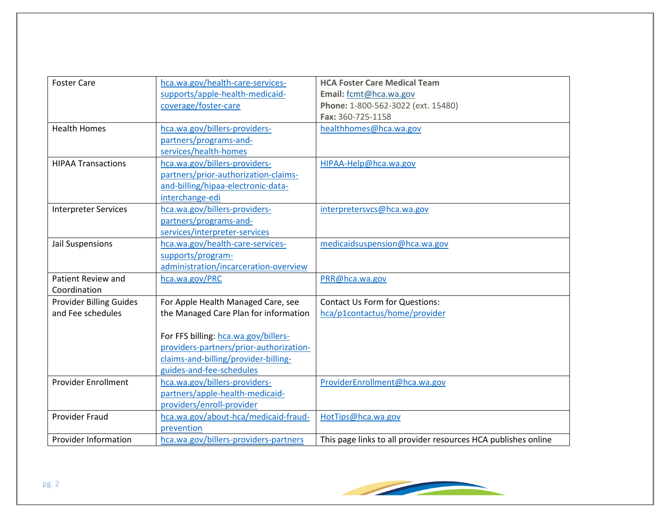| <b>Foster Care</b>             | hca.wa.gov/health-care-services-        | <b>HCA Foster Care Medical Team</b>                            |
|--------------------------------|-----------------------------------------|----------------------------------------------------------------|
|                                | supports/apple-health-medicaid-         | Email: fcmt@hca.wa.gov                                         |
|                                | coverage/foster-care                    | Phone: 1-800-562-3022 (ext. 15480)                             |
|                                |                                         | Fax: 360-725-1158                                              |
| <b>Health Homes</b>            | hca.wa.gov/billers-providers-           | healthhomes@hca.wa.gov                                         |
|                                | partners/programs-and-                  |                                                                |
|                                | services/health-homes                   |                                                                |
| <b>HIPAA Transactions</b>      | hca.wa.gov/billers-providers-           | HIPAA-Help@hca.wa.gov                                          |
|                                | partners/prior-authorization-claims-    |                                                                |
|                                | and-billing/hipaa-electronic-data-      |                                                                |
|                                | interchange-edi                         |                                                                |
| <b>Interpreter Services</b>    | hca.wa.gov/billers-providers-           | interpretersvcs@hca.wa.gov                                     |
|                                | partners/programs-and-                  |                                                                |
|                                | services/interpreter-services           |                                                                |
| Jail Suspensions               | hca.wa.gov/health-care-services-        | medicaidsuspension@hca.wa.gov                                  |
|                                | supports/program-                       |                                                                |
|                                | administration/incarceration-overview   |                                                                |
| Patient Review and             | hca.wa.gov/PRC                          | PRR@hca.wa.gov                                                 |
| Coordination                   |                                         |                                                                |
| <b>Provider Billing Guides</b> | For Apple Health Managed Care, see      | <b>Contact Us Form for Questions:</b>                          |
| and Fee schedules              | the Managed Care Plan for information   | hca/p1contactus/home/provider                                  |
|                                |                                         |                                                                |
|                                | For FFS billing: hca.wa.gov/billers-    |                                                                |
|                                | providers-partners/prior-authorization- |                                                                |
|                                | claims-and-billing/provider-billing-    |                                                                |
|                                | guides-and-fee-schedules                |                                                                |
| <b>Provider Enrollment</b>     | hca.wa.gov/billers-providers-           | ProviderEnrollment@hca.wa.gov                                  |
|                                | partners/apple-health-medicaid-         |                                                                |
|                                | providers/enroll-provider               |                                                                |
| <b>Provider Fraud</b>          | hca.wa.gov/about-hca/medicaid-fraud-    | HotTips@hca.wa.gov                                             |
|                                | prevention                              |                                                                |
| <b>Provider Information</b>    | hca.wa.gov/billers-providers-partners   | This page links to all provider resources HCA publishes online |